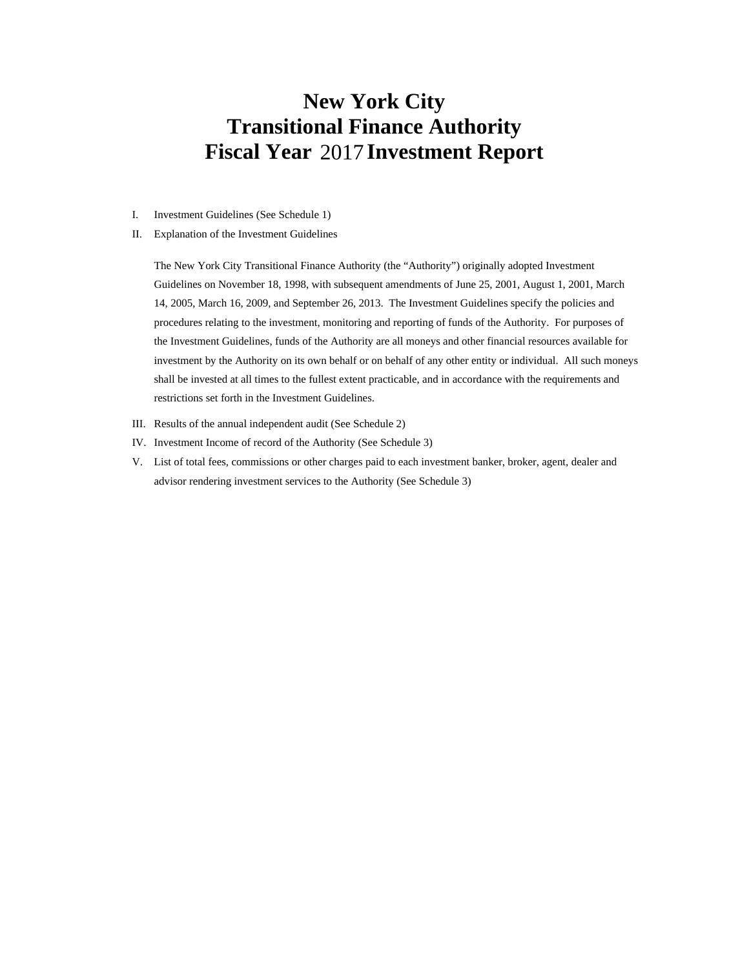# **New York City Transitional Finance Authority Fiscal Year 2017 Investment Report**

- I. Investment Guidelines (See Schedule 1)
- II. Explanation of the Investment Guidelines

The New York City Transitional Finance Authority (the "Authority") originally adopted Investment Guidelines on November 18, 1998, with subsequent amendments of June 25, 2001, August 1, 2001, March 14, 2005, March 16, 2009, and September 26, 2013. The Investment Guidelines specify the policies and procedures relating to the investment, monitoring and reporting of funds of the Authority. For purposes of the Investment Guidelines, funds of the Authority are all moneys and other financial resources available for investment by the Authority on its own behalf or on behalf of any other entity or individual. All such moneys shall be invested at all times to the fullest extent practicable, and in accordance with the requirements and restrictions set forth in the Investment Guidelines.

- III. Results of the annual independent audit (See Schedule 2)
- IV. Investment Income of record of the Authority (See Schedule 3)
- V. List of total fees, commissions or other charges paid to each investment banker, broker, agent, dealer and advisor rendering investment services to the Authority (See Schedule 3)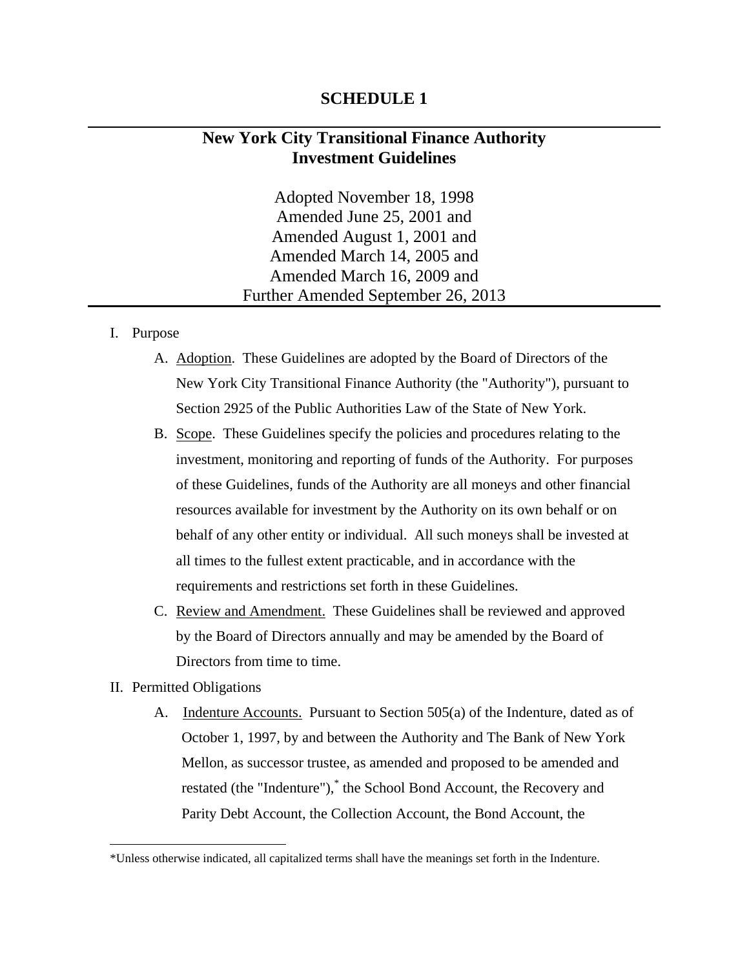# **SCHEDULE 1**

# **New York City Transitional Finance Authority Investment Guidelines**

Adopted November 18, 1998 Amended June 25, 2001 and Amended August 1, 2001 and Amended March 14, 2005 and Amended March 16, 2009 and Further Amended September 26, 2013

## I. Purpose

- A. Adoption. These Guidelines are adopted by the Board of Directors of the New York City Transitional Finance Authority (the "Authority"), pursuant to Section 2925 of the Public Authorities Law of the State of New York.
- B. Scope. These Guidelines specify the policies and procedures relating to the investment, monitoring and reporting of funds of the Authority. For purposes of these Guidelines, funds of the Authority are all moneys and other financial resources available for investment by the Authority on its own behalf or on behalf of any other entity or individual. All such moneys shall be invested at all times to the fullest extent practicable, and in accordance with the requirements and restrictions set forth in these Guidelines.
- C. Review and Amendment. These Guidelines shall be reviewed and approved by the Board of Directors annually and may be amended by the Board of Directors from time to time.
- II. Permitted Obligations

 $\overline{a}$ 

A. Indenture Accounts. Pursuant to Section 505(a) of the Indenture, dated as of October 1, 1997, by and between the Authority and The Bank of New York Mellon, as successor trustee, as amended and proposed to be amended and restated (the "Indenture"),<sup>\*</sup> the School Bond Account, the Recovery and Parity Debt Account, the Collection Account, the Bond Account, the

<sup>\*</sup>Unless otherwise indicated, all capitalized terms shall have the meanings set forth in the Indenture.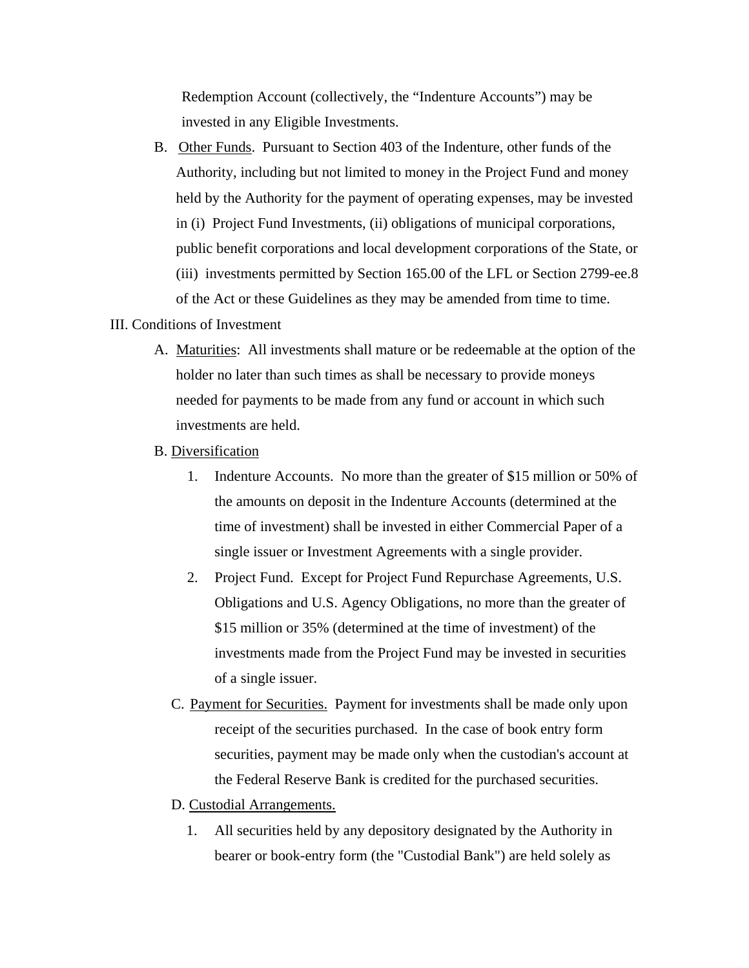Redemption Account (collectively, the "Indenture Accounts") may be invested in any Eligible Investments.

B. Other Funds. Pursuant to Section 403 of the Indenture, other funds of the Authority, including but not limited to money in the Project Fund and money held by the Authority for the payment of operating expenses, may be invested in (i) Project Fund Investments, (ii) obligations of municipal corporations, public benefit corporations and local development corporations of the State, or (iii) investments permitted by Section 165.00 of the LFL or Section 2799-ee.8 of the Act or these Guidelines as they may be amended from time to time.

# III. Conditions of Investment

- A. Maturities: All investments shall mature or be redeemable at the option of the holder no later than such times as shall be necessary to provide moneys needed for payments to be made from any fund or account in which such investments are held.
- B. Diversification
	- 1. Indenture Accounts. No more than the greater of \$15 million or 50% of the amounts on deposit in the Indenture Accounts (determined at the time of investment) shall be invested in either Commercial Paper of a single issuer or Investment Agreements with a single provider.
	- 2. Project Fund. Except for Project Fund Repurchase Agreements, U.S. Obligations and U.S. Agency Obligations, no more than the greater of \$15 million or 35% (determined at the time of investment) of the investments made from the Project Fund may be invested in securities of a single issuer.
	- C. Payment for Securities. Payment for investments shall be made only upon receipt of the securities purchased. In the case of book entry form securities, payment may be made only when the custodian's account at the Federal Reserve Bank is credited for the purchased securities.
	- D. Custodial Arrangements.
		- 1. All securities held by any depository designated by the Authority in bearer or book-entry form (the "Custodial Bank") are held solely as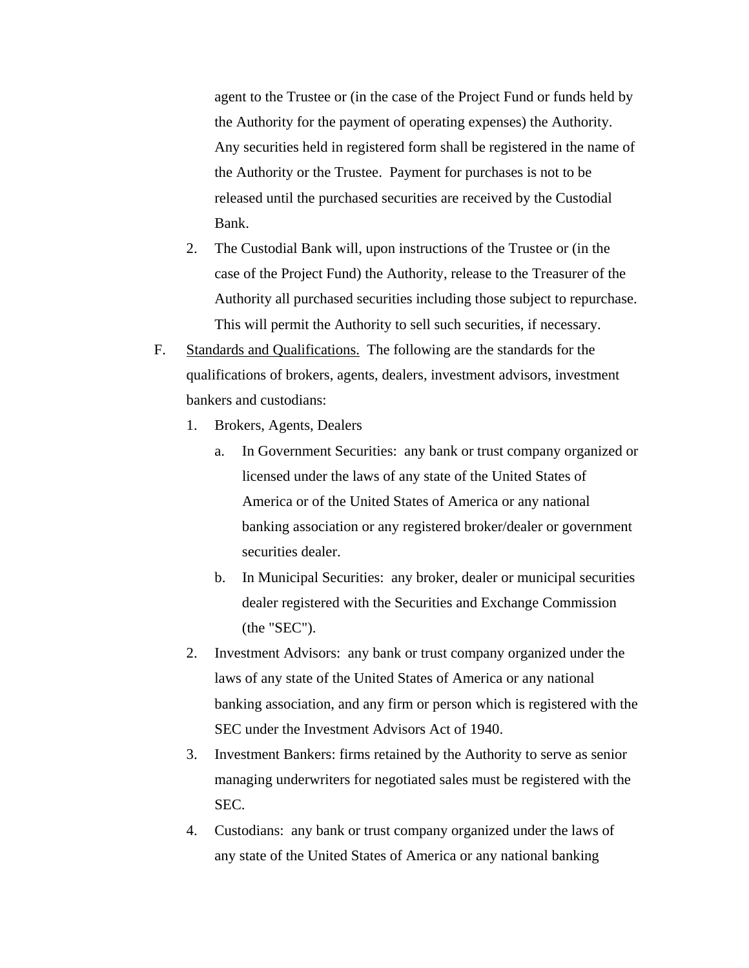agent to the Trustee or (in the case of the Project Fund or funds held by the Authority for the payment of operating expenses) the Authority. Any securities held in registered form shall be registered in the name of the Authority or the Trustee. Payment for purchases is not to be released until the purchased securities are received by the Custodial Bank.

- 2. The Custodial Bank will, upon instructions of the Trustee or (in the case of the Project Fund) the Authority, release to the Treasurer of the Authority all purchased securities including those subject to repurchase. This will permit the Authority to sell such securities, if necessary.
- F. Standards and Qualifications. The following are the standards for the qualifications of brokers, agents, dealers, investment advisors, investment bankers and custodians:
	- 1. Brokers, Agents, Dealers
		- a. In Government Securities: any bank or trust company organized or licensed under the laws of any state of the United States of America or of the United States of America or any national banking association or any registered broker/dealer or government securities dealer.
		- b. In Municipal Securities: any broker, dealer or municipal securities dealer registered with the Securities and Exchange Commission (the "SEC").
	- 2. Investment Advisors: any bank or trust company organized under the laws of any state of the United States of America or any national banking association, and any firm or person which is registered with the SEC under the Investment Advisors Act of 1940.
	- 3. Investment Bankers: firms retained by the Authority to serve as senior managing underwriters for negotiated sales must be registered with the SEC.
	- 4. Custodians: any bank or trust company organized under the laws of any state of the United States of America or any national banking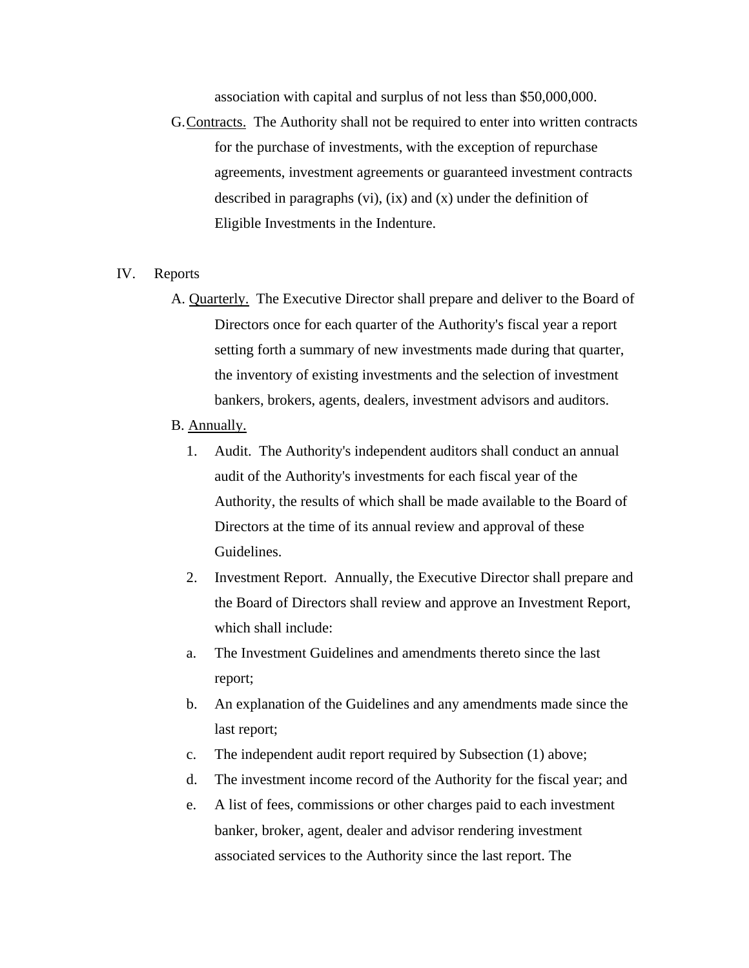association with capital and surplus of not less than \$50,000,000.

G. Contracts. The Authority shall not be required to enter into written contracts for the purchase of investments, with the exception of repurchase agreements, investment agreements or guaranteed investment contracts described in paragraphs (vi), (ix) and (x) under the definition of Eligible Investments in the Indenture.

#### IV. Reports

 A. Quarterly. The Executive Director shall prepare and deliver to the Board of Directors once for each quarter of the Authority's fiscal year a report setting forth a summary of new investments made during that quarter, the inventory of existing investments and the selection of investment bankers, brokers, agents, dealers, investment advisors and auditors.

### B. Annually.

- 1. Audit. The Authority's independent auditors shall conduct an annual audit of the Authority's investments for each fiscal year of the Authority, the results of which shall be made available to the Board of Directors at the time of its annual review and approval of these Guidelines.
- 2. Investment Report. Annually, the Executive Director shall prepare and the Board of Directors shall review and approve an Investment Report, which shall include:
- a. The Investment Guidelines and amendments thereto since the last report;
- b. An explanation of the Guidelines and any amendments made since the last report;
- c. The independent audit report required by Subsection (1) above;
- d. The investment income record of the Authority for the fiscal year; and
- e. A list of fees, commissions or other charges paid to each investment banker, broker, agent, dealer and advisor rendering investment associated services to the Authority since the last report. The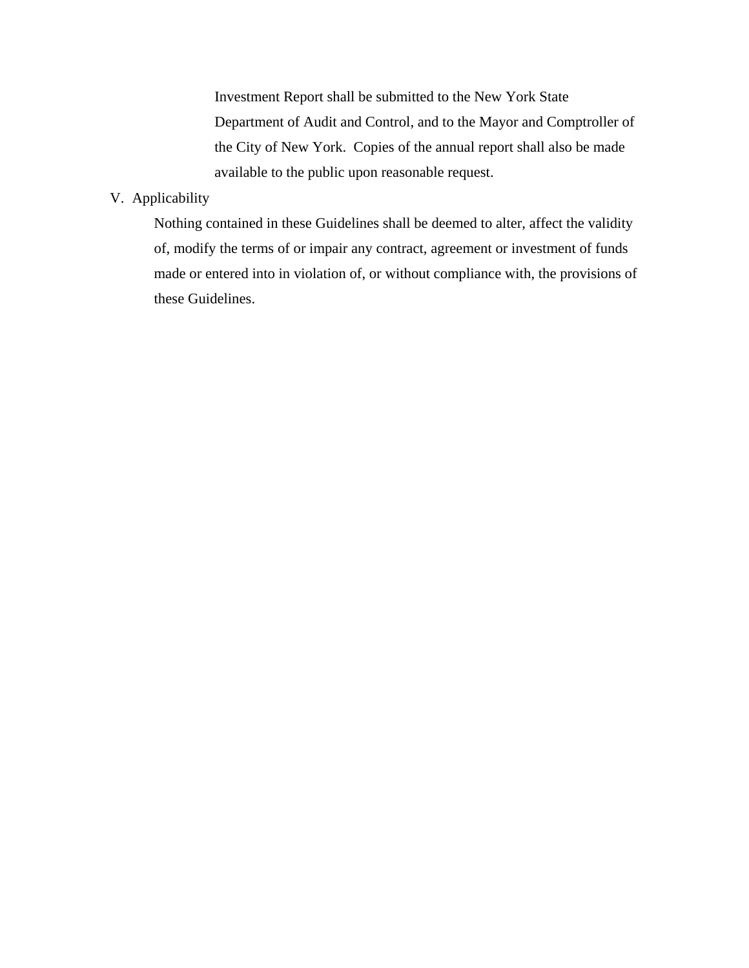Investment Report shall be submitted to the New York State Department of Audit and Control, and to the Mayor and Comptroller of the City of New York. Copies of the annual report shall also be made available to the public upon reasonable request.

# V. Applicability

Nothing contained in these Guidelines shall be deemed to alter, affect the validity of, modify the terms of or impair any contract, agreement or investment of funds made or entered into in violation of, or without compliance with, the provisions of these Guidelines.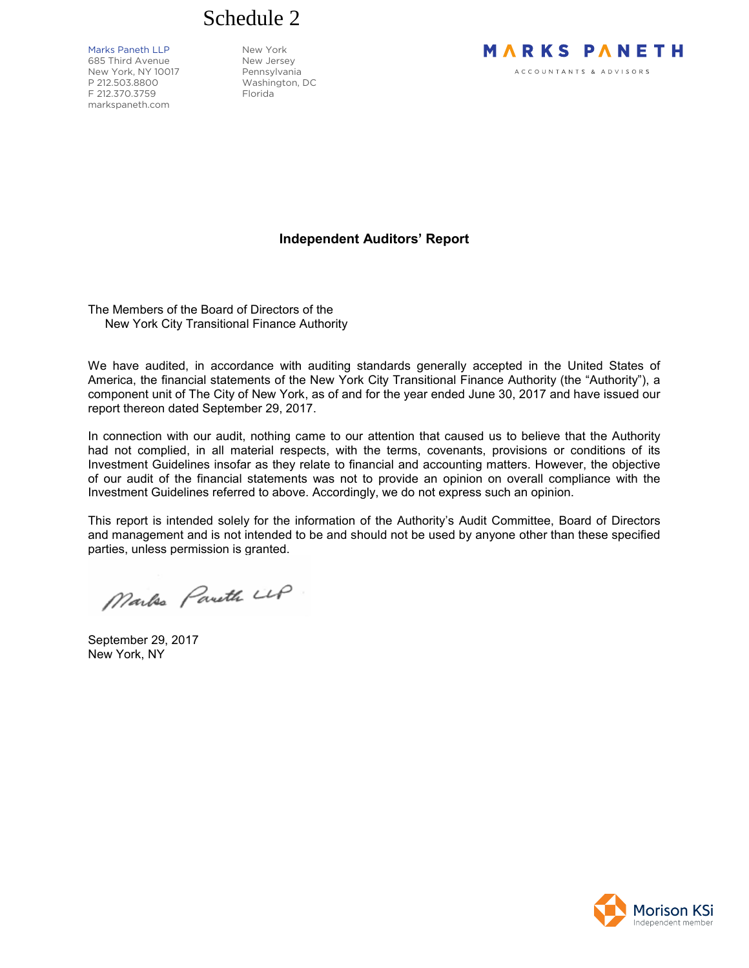

Marks Paneth LLP New York

685 Third Avenue New Jersey New York, NY 10017 Pennsylvania P 212.503.8800 Washington, DC F 212.370.3759 Florida markspaneth.com

# **MARKS PANETH** ACCOUNTANTS & ADVISORS

# **Independent Auditors' Report**

The Members of the Board of Directors of the New York City Transitional Finance Authority

We have audited, in accordance with auditing standards generally accepted in the United States of America, the financial statements of the New York City Transitional Finance Authority (the "Authority"), a component unit of The City of New York, as of and for the year ended June 30, 2017 and have issued our report thereon dated September 29, 2017.

In connection with our audit, nothing came to our attention that caused us to believe that the Authority had not complied, in all material respects, with the terms, covenants, provisions or conditions of its Investment Guidelines insofar as they relate to financial and accounting matters. However, the objective of our audit of the financial statements was not to provide an opinion on overall compliance with the Investment Guidelines referred to above. Accordingly, we do not express such an opinion.

This report is intended solely for the information of the Authority's Audit Committee, Board of Directors and management and is not intended to be and should not be used by anyone other than these specified parties, unless permission is granted.

Marke Pareth LLP

September 29, 2017 New York, NY